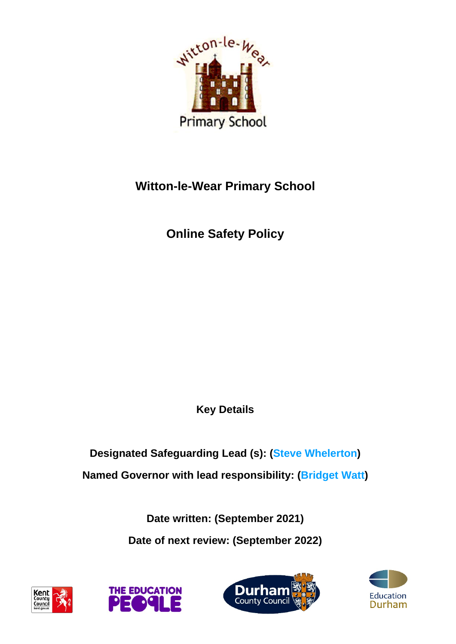

## **Witton-le-Wear Primary School**

**Online Safety Policy** 

**Key Details** 

# **Designated Safeguarding Lead (s): (Steve Whelerton) Named Governor with lead responsibility: (Bridget Watt)**

**Date written: (September 2021) Date of next review: (September 2022)** 







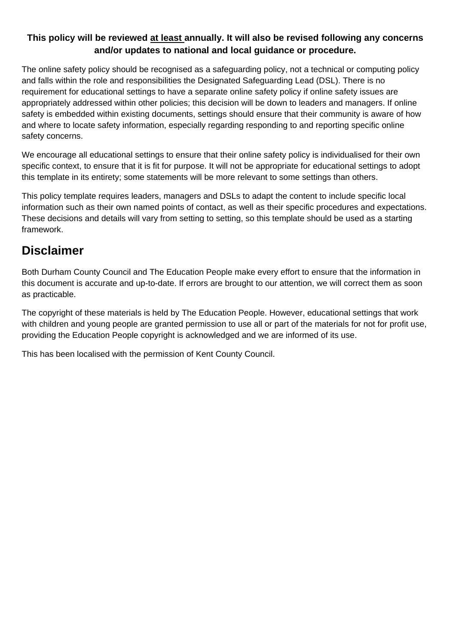#### **This policy will be reviewed at least annually. It will also be revised following any concerns and/or updates to national and local guidance or procedure.**

The online safety policy should be recognised as a safeguarding policy, not a technical or computing policy and falls within the role and responsibilities the Designated Safeguarding Lead (DSL). There is no requirement for educational settings to have a separate online safety policy if online safety issues are appropriately addressed within other policies; this decision will be down to leaders and managers. If online safety is embedded within existing documents, settings should ensure that their community is aware of how and where to locate safety information, especially regarding responding to and reporting specific online safety concerns.

We encourage all educational settings to ensure that their online safety policy is individualised for their own specific context, to ensure that it is fit for purpose. It will not be appropriate for educational settings to adopt this template in its entirety; some statements will be more relevant to some settings than others.

This policy template requires leaders, managers and DSLs to adapt the content to include specific local information such as their own named points of contact, as well as their specific procedures and expectations. These decisions and details will vary from setting to setting, so this template should be used as a starting framework.

#### **Disclaimer**

Both Durham County Council and The Education People make every effort to ensure that the information in this document is accurate and up-to-date. If errors are brought to our attention, we will correct them as soon as practicable.

The copyright of these materials is held by The Education People. However, educational settings that work with children and young people are granted permission to use all or part of the materials for not for profit use, providing the Education People copyright is acknowledged and we are informed of its use.

This has been localised with the permission of Kent County Council.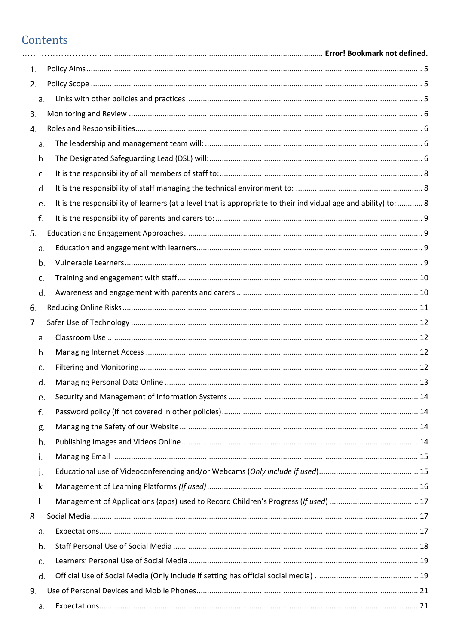## Contents

| 1. |                                                                                                                        |  |
|----|------------------------------------------------------------------------------------------------------------------------|--|
| 2. |                                                                                                                        |  |
|    | a.                                                                                                                     |  |
| 3. |                                                                                                                        |  |
| 4. |                                                                                                                        |  |
|    | a.                                                                                                                     |  |
|    | b.                                                                                                                     |  |
|    | c.                                                                                                                     |  |
|    | d.                                                                                                                     |  |
|    | It is the responsibility of learners (at a level that is appropriate to their individual age and ability) to:  8<br>e. |  |
|    | f.                                                                                                                     |  |
| 5. |                                                                                                                        |  |
|    | a.                                                                                                                     |  |
|    | b.                                                                                                                     |  |
|    | c.                                                                                                                     |  |
|    | d.                                                                                                                     |  |
| 6. |                                                                                                                        |  |
| 7. |                                                                                                                        |  |
|    | a.                                                                                                                     |  |
|    | b.                                                                                                                     |  |
|    | c.                                                                                                                     |  |
|    | d.                                                                                                                     |  |
|    | e.                                                                                                                     |  |
|    | f.                                                                                                                     |  |
|    | g.                                                                                                                     |  |
|    | h.                                                                                                                     |  |
|    | i.                                                                                                                     |  |
|    | j.                                                                                                                     |  |
|    | k.                                                                                                                     |  |
|    | Ι.                                                                                                                     |  |
| 8. |                                                                                                                        |  |
|    | a.                                                                                                                     |  |
|    | b.                                                                                                                     |  |
|    | c.                                                                                                                     |  |
|    | d.                                                                                                                     |  |
| 9. |                                                                                                                        |  |
|    | a.                                                                                                                     |  |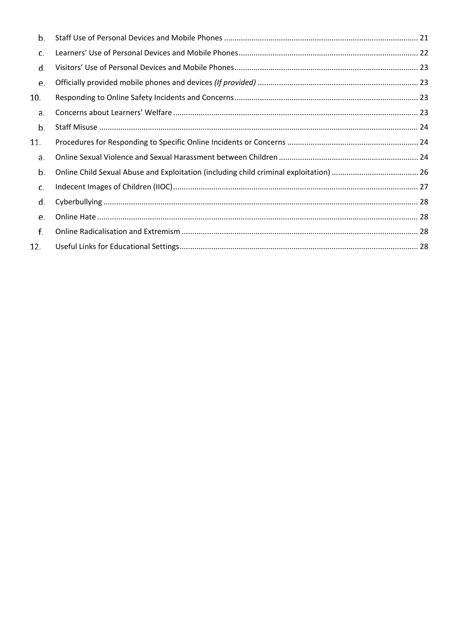| b.  |  |
|-----|--|
| c.  |  |
| d.  |  |
| e.  |  |
| 10. |  |
| a.  |  |
| b.  |  |
| 11. |  |
| a.  |  |
| b.  |  |
| c.  |  |
| d.  |  |
| e.  |  |
| f.  |  |
| 12. |  |
|     |  |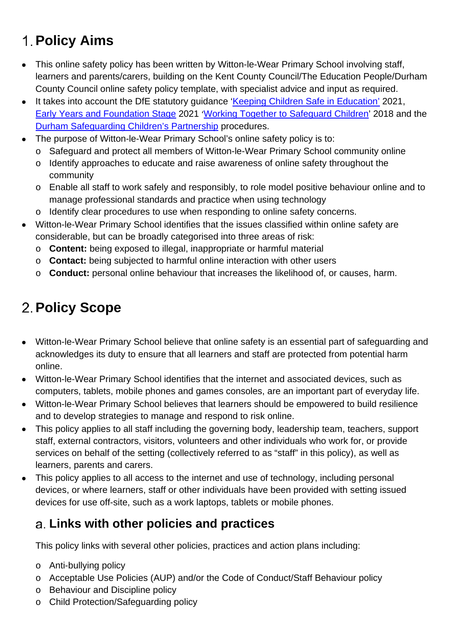# <span id="page-4-0"></span>**Policy Aims**

- This online safety policy has been written by Witton-le-Wear Primary School involving staff, learners and parents/carers, building on the Kent County Council/The Education People/Durham County Council online safety policy template, with specialist advice and input as required.
- It takes into account the DfE statutory guidance ['Keeping Children Safe in Education'](https://www.gov.uk/government/publications/keeping-children-safe-in-education--2) 2021, [Early Years and Foundation Stage](https://www.gov.uk/government/publications/early-years-foundation-stage-framework--2) 2021 '[Working Together to Safeguard Children'](https://www.gov.uk/government/publications/working-together-to-safeguard-children--2) 2018 and the [Durham Safeguarding Children's Partnership](http://www.durham-scp.org.uk/whats-new/) procedures.
- The purpose of Witton-le-Wear Primary School's online safety policy is to:
	- o Safeguard and protect all members of Witton-le-Wear Primary School community online
	- o Identify approaches to educate and raise awareness of online safety throughout the community
	- o Enable all staff to work safely and responsibly, to role model positive behaviour online and to manage professional standards and practice when using technology
	- o Identify clear procedures to use when responding to online safety concerns.
- Witton-le-Wear Primary School identifies that the issues classified within online safety are considerable, but can be broadly categorised into three areas of risk:
	- o **Content:** being exposed to illegal, inappropriate or harmful material
	- o **Contact:** being subjected to harmful online interaction with other users
	- o **Conduct:** personal online behaviour that increases the likelihood of, or causes, harm.

# <span id="page-4-1"></span>**Policy Scope**

- Witton-le-Wear Primary School believe that online safety is an essential part of safeguarding and acknowledges its duty to ensure that all learners and staff are protected from potential harm online.
- Witton-le-Wear Primary School identifies that the internet and associated devices, such as computers, tablets, mobile phones and games consoles, are an important part of everyday life.
- Witton-le-Wear Primary School believes that learners should be empowered to build resilience and to develop strategies to manage and respond to risk online.
- This policy applies to all staff including the governing body, leadership team, teachers, support staff, external contractors, visitors, volunteers and other individuals who work for, or provide services on behalf of the setting (collectively referred to as "staff" in this policy), as well as learners, parents and carers.
- This policy applies to all access to the internet and use of technology, including personal devices, or where learners, staff or other individuals have been provided with setting issued devices for use off-site, such as a work laptops, tablets or mobile phones.

#### <span id="page-4-2"></span>**Links with other policies and practices**

This policy links with several other policies, practices and action plans including:

- o Anti-bullying policy
- o Acceptable Use Policies (AUP) and/or the Code of Conduct/Staff Behaviour policy
- o Behaviour and Discipline policy
- o Child Protection/Safeguarding policy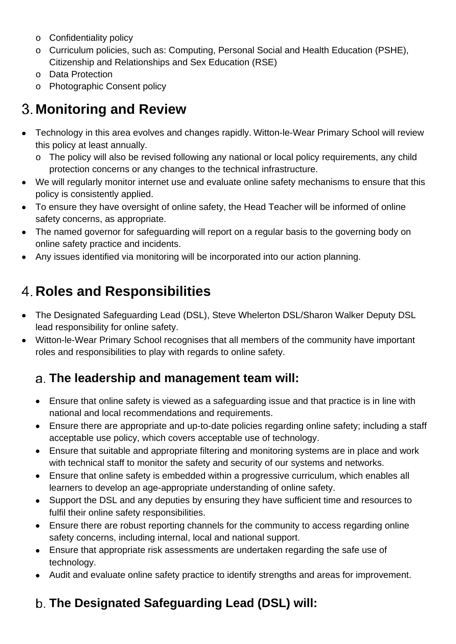- o Confidentiality policy
- o Curriculum policies, such as: Computing, Personal Social and Health Education (PSHE), Citizenship and Relationships and Sex Education (RSE)
- o Data Protection
- o Photographic Consent policy

# <span id="page-5-0"></span>**Monitoring and Review**

- Technology in this area evolves and changes rapidly. Witton-le-Wear Primary School will review this policy at least annually.
	- o The policy will also be revised following any national or local policy requirements, any child protection concerns or any changes to the technical infrastructure.
- We will regularly monitor internet use and evaluate online safety mechanisms to ensure that this policy is consistently applied.
- To ensure they have oversight of online safety, the Head Teacher will be informed of online safety concerns, as appropriate.
- The named governor for safeguarding will report on a regular basis to the governing body on online safety practice and incidents.
- Any issues identified via monitoring will be incorporated into our action planning.

# <span id="page-5-1"></span>**Roles and Responsibilities**

- The Designated Safeguarding Lead (DSL), Steve Whelerton DSL/Sharon Walker Deputy DSL lead responsibility for online safety.
- Witton-le-Wear Primary School recognises that all members of the community have important roles and responsibilities to play with regards to online safety.

## <span id="page-5-2"></span>**The leadership and management team will:**

- Ensure that online safety is viewed as a safeguarding issue and that practice is in line with national and local recommendations and requirements.
- Ensure there are appropriate and up-to-date policies regarding online safety; including a staff acceptable use policy, which covers acceptable use of technology.
- Ensure that suitable and appropriate filtering and monitoring systems are in place and work with technical staff to monitor the safety and security of our systems and networks.
- Ensure that online safety is embedded within a progressive curriculum, which enables all learners to develop an age-appropriate understanding of online safety.
- Support the DSL and any deputies by ensuring they have sufficient time and resources to fulfil their online safety responsibilities.
- Ensure there are robust reporting channels for the community to access regarding online safety concerns, including internal, local and national support.
- Ensure that appropriate risk assessments are undertaken regarding the safe use of technology.
- Audit and evaluate online safety practice to identify strengths and areas for improvement.

## <span id="page-5-3"></span>**The Designated Safeguarding Lead (DSL) will:**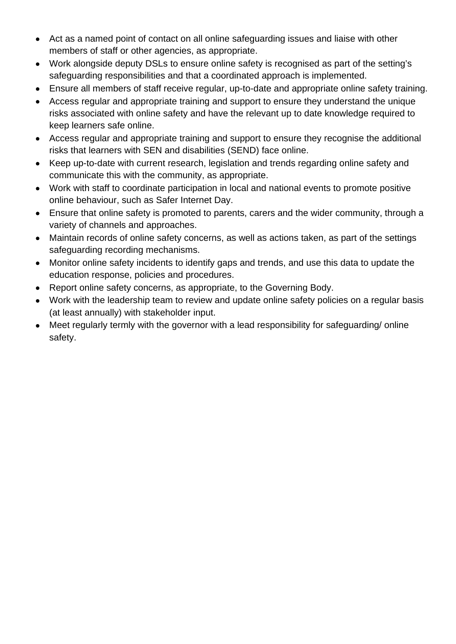- Act as a named point of contact on all online safeguarding issues and liaise with other members of staff or other agencies, as appropriate.
- Work alongside deputy DSLs to ensure online safety is recognised as part of the setting's safeguarding responsibilities and that a coordinated approach is implemented.
- Ensure all members of staff receive regular, up-to-date and appropriate online safety training.
- Access regular and appropriate training and support to ensure they understand the unique risks associated with online safety and have the relevant up to date knowledge required to keep learners safe online.
- Access regular and appropriate training and support to ensure they recognise the additional risks that learners with SEN and disabilities (SEND) face online.
- Keep up-to-date with current research, legislation and trends regarding online safety and communicate this with the community, as appropriate.
- Work with staff to coordinate participation in local and national events to promote positive online behaviour, such as Safer Internet Day.
- Ensure that online safety is promoted to parents, carers and the wider community, through a variety of channels and approaches.
- Maintain records of online safety concerns, as well as actions taken, as part of the settings safeguarding recording mechanisms.
- Monitor online safety incidents to identify gaps and trends, and use this data to update the education response, policies and procedures.
- Report online safety concerns, as appropriate, to the Governing Body.
- Work with the leadership team to review and update online safety policies on a regular basis (at least annually) with stakeholder input.
- Meet regularly termly with the governor with a lead responsibility for safeguarding/ online safety.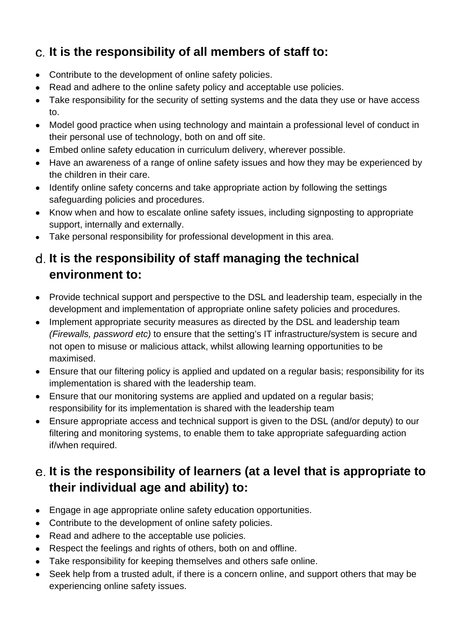## <span id="page-7-0"></span>**It is the responsibility of all members of staff to:**

- Contribute to the development of online safety policies.
- Read and adhere to the online safety policy and acceptable use policies.
- Take responsibility for the security of setting systems and the data they use or have access to.
- Model good practice when using technology and maintain a professional level of conduct in their personal use of technology, both on and off site.
- Embed online safety education in curriculum delivery, wherever possible.
- Have an awareness of a range of online safety issues and how they may be experienced by the children in their care.
- Identify online safety concerns and take appropriate action by following the settings safeguarding policies and procedures.
- Know when and how to escalate online safety issues, including signposting to appropriate support, internally and externally.
- Take personal responsibility for professional development in this area.

#### <span id="page-7-1"></span>**It is the responsibility of staff managing the technical environment to:**

- Provide technical support and perspective to the DSL and leadership team, especially in the development and implementation of appropriate online safety policies and procedures.
- Implement appropriate security measures as directed by the DSL and leadership team *(Firewalls, password etc)* to ensure that the setting's IT infrastructure/system is secure and not open to misuse or malicious attack, whilst allowing learning opportunities to be maximised.
- Ensure that our filtering policy is applied and updated on a regular basis; responsibility for its implementation is shared with the leadership team.
- Ensure that our monitoring systems are applied and updated on a regular basis; responsibility for its implementation is shared with the leadership team
- Ensure appropriate access and technical support is given to the DSL (and/or deputy) to our filtering and monitoring systems, to enable them to take appropriate safeguarding action if/when required.

## <span id="page-7-2"></span>**It is the responsibility of learners (at a level that is appropriate to their individual age and ability) to:**

- Engage in age appropriate online safety education opportunities.
- Contribute to the development of online safety policies.
- Read and adhere to the acceptable use policies.
- Respect the feelings and rights of others, both on and offline.
- Take responsibility for keeping themselves and others safe online.
- Seek help from a trusted adult, if there is a concern online, and support others that may be experiencing online safety issues.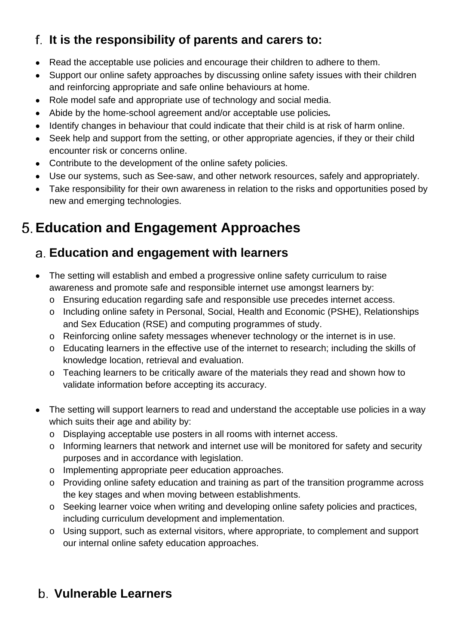## <span id="page-8-0"></span>**It is the responsibility of parents and carers to:**

- Read the acceptable use policies and encourage their children to adhere to them.
- Support our online safety approaches by discussing online safety issues with their children and reinforcing appropriate and safe online behaviours at home.
- Role model safe and appropriate use of technology and social media.
- Abide by the home-school agreement and/or acceptable use policies*.*
- Identify changes in behaviour that could indicate that their child is at risk of harm online.
- Seek help and support from the setting, or other appropriate agencies, if they or their child encounter risk or concerns online.
- Contribute to the development of the online safety policies.
- Use our systems, such as See-saw, and other network resources, safely and appropriately.
- Take responsibility for their own awareness in relation to the risks and opportunities posed by new and emerging technologies.

# <span id="page-8-1"></span>**Education and Engagement Approaches**

#### <span id="page-8-2"></span>**Education and engagement with learners**

- The setting will establish and embed a progressive online safety curriculum to raise awareness and promote safe and responsible internet use amongst learners by:
	- o Ensuring education regarding safe and responsible use precedes internet access.
	- o Including online safety in Personal, Social, Health and Economic (PSHE), Relationships and Sex Education (RSE) and computing programmes of study.
	- o Reinforcing online safety messages whenever technology or the internet is in use.
	- o Educating learners in the effective use of the internet to research; including the skills of knowledge location, retrieval and evaluation.
	- o Teaching learners to be critically aware of the materials they read and shown how to validate information before accepting its accuracy.
- The setting will support learners to read and understand the acceptable use policies in a way which suits their age and ability by:
	- o Displaying acceptable use posters in all rooms with internet access.
	- o Informing learners that network and internet use will be monitored for safety and security purposes and in accordance with legislation.
	- o Implementing appropriate peer education approaches.
	- o Providing online safety education and training as part of the transition programme across the key stages and when moving between establishments.
	- o Seeking learner voice when writing and developing online safety policies and practices, including curriculum development and implementation.
	- o Using support, such as external visitors, where appropriate, to complement and support our internal online safety education approaches.

## <span id="page-8-3"></span>**Vulnerable Learners**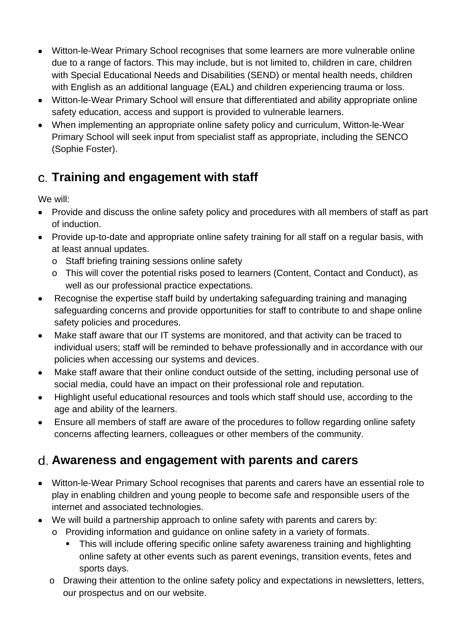- Witton-le-Wear Primary School recognises that some learners are more vulnerable online due to a range of factors. This may include, but is not limited to, children in care, children with Special Educational Needs and Disabilities (SEND) or mental health needs, children with English as an additional language (EAL) and children experiencing trauma or loss.
- Witton-le-Wear Primary School will ensure that differentiated and ability appropriate online safety education, access and support is provided to vulnerable learners.
- When implementing an appropriate online safety policy and curriculum, Witton-le-Wear Primary School will seek input from specialist staff as appropriate, including the SENCO (Sophie Foster).

## <span id="page-9-0"></span>**Training and engagement with staff**

We will:

- Provide and discuss the online safety policy and procedures with all members of staff as part of induction.
- Provide up-to-date and appropriate online safety training for all staff on a regular basis, with at least annual updates.
	- o Staff briefing training sessions online safety
	- o This will cover the potential risks posed to learners (Content, Contact and Conduct), as well as our professional practice expectations.
- Recognise the expertise staff build by undertaking safeguarding training and managing safeguarding concerns and provide opportunities for staff to contribute to and shape online safety policies and procedures.
- Make staff aware that our IT systems are monitored, and that activity can be traced to individual users; staff will be reminded to behave professionally and in accordance with our policies when accessing our systems and devices.
- Make staff aware that their online conduct outside of the setting, including personal use of social media, could have an impact on their professional role and reputation.
- Highlight useful educational resources and tools which staff should use, according to the age and ability of the learners.
- Ensure all members of staff are aware of the procedures to follow regarding online safety concerns affecting learners, colleagues or other members of the community.

## <span id="page-9-1"></span>**Awareness and engagement with parents and carers**

- Witton-le-Wear Primary School recognises that parents and carers have an essential role to play in enabling children and young people to become safe and responsible users of the internet and associated technologies.
- We will build a partnership approach to online safety with parents and carers by:
	- o Providing information and guidance on online safety in a variety of formats.
		- This will include offering specific online safety awareness training and highlighting online safety at other events such as parent evenings, transition events, fetes and sports days.
	- o Drawing their attention to the online safety policy and expectations in newsletters, letters, our prospectus and on our website.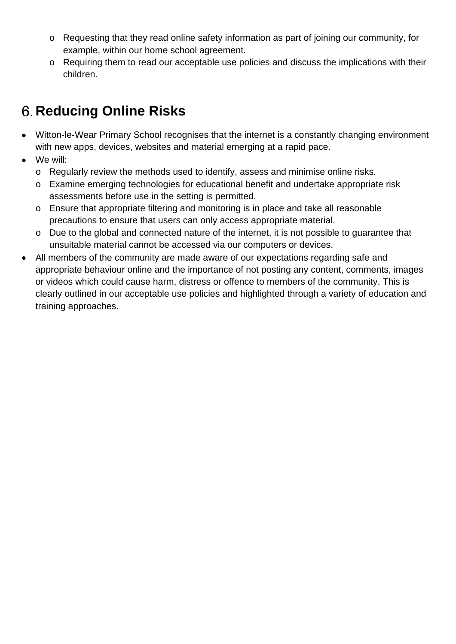- o Requesting that they read online safety information as part of joining our community, for example, within our home school agreement.
- o Requiring them to read our acceptable use policies and discuss the implications with their children.

# <span id="page-10-0"></span>**Reducing Online Risks**

- Witton-le-Wear Primary School recognises that the internet is a constantly changing environment with new apps, devices, websites and material emerging at a rapid pace.
- We will:
	- o Regularly review the methods used to identify, assess and minimise online risks.
	- o Examine emerging technologies for educational benefit and undertake appropriate risk assessments before use in the setting is permitted.
	- o Ensure that appropriate filtering and monitoring is in place and take all reasonable precautions to ensure that users can only access appropriate material.
	- o Due to the global and connected nature of the internet, it is not possible to guarantee that unsuitable material cannot be accessed via our computers or devices.
- All members of the community are made aware of our expectations regarding safe and appropriate behaviour online and the importance of not posting any content, comments, images or videos which could cause harm, distress or offence to members of the community. This is clearly outlined in our acceptable use policies and highlighted through a variety of education and training approaches.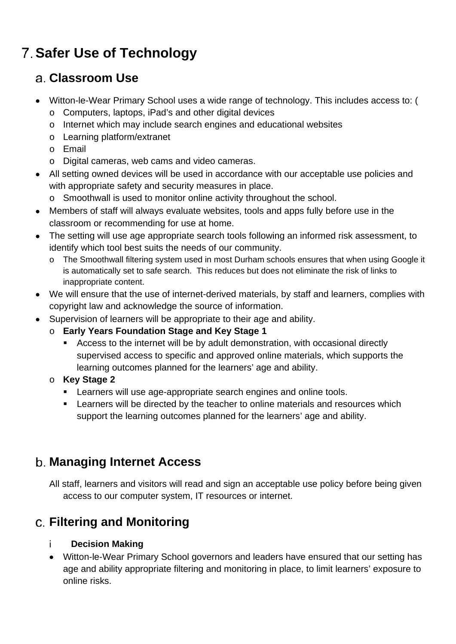# <span id="page-11-0"></span>**Safer Use of Technology**

#### <span id="page-11-1"></span>**Classroom Use**

- Witton-le-Wear Primary School uses a wide range of technology. This includes access to: (
	- o Computers, laptops, iPad's and other digital devices
	- o Internet which may include search engines and educational websites
	- o Learning platform/extranet
	- o Email
	- o Digital cameras, web cams and video cameras.
- All setting owned devices will be used in accordance with our acceptable use policies and with appropriate safety and security measures in place.
	- o Smoothwall is used to monitor online activity throughout the school.
- Members of staff will always evaluate websites, tools and apps fully before use in the classroom or recommending for use at home.
- The setting will use age appropriate search tools following an informed risk assessment, to identify which tool best suits the needs of our community.
	- o The Smoothwall filtering system used in most Durham schools ensures that when using Google it is automatically set to safe search. This reduces but does not eliminate the risk of links to inappropriate content.
- We will ensure that the use of internet-derived materials, by staff and learners, complies with copyright law and acknowledge the source of information.
- Supervision of learners will be appropriate to their age and ability.
	- o **Early Years Foundation Stage and Key Stage 1**
		- Access to the internet will be by adult demonstration, with occasional directly supervised access to specific and approved online materials, which supports the learning outcomes planned for the learners' age and ability.
	- o **Key Stage 2** 
		- **EXECTE:** Learners will use age-appropriate search engines and online tools.
		- **EXECT** Learners will be directed by the teacher to online materials and resources which support the learning outcomes planned for the learners' age and ability.

#### <span id="page-11-2"></span>**Managing Internet Access**

All staff, learners and visitors will read and sign an acceptable use policy before being given access to our computer system, IT resources or internet.

## <span id="page-11-3"></span>**Filtering and Monitoring**

#### **Decision Making** i.

• Witton-le-Wear Primary School governors and leaders have ensured that our setting has age and ability appropriate filtering and monitoring in place, to limit learners' exposure to online risks.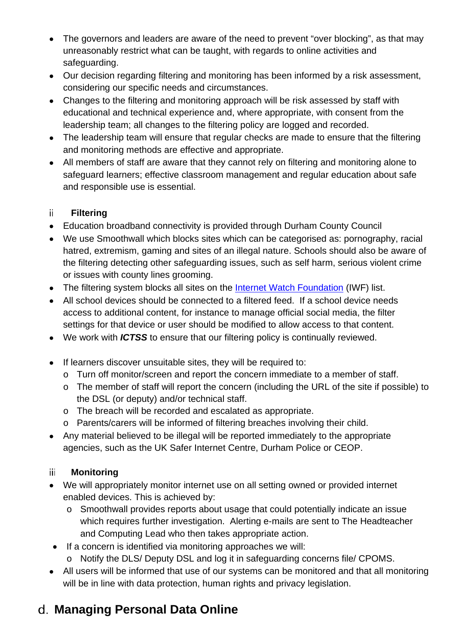- The governors and leaders are aware of the need to prevent "over blocking", as that may unreasonably restrict what can be taught, with regards to online activities and safeguarding.
- Our decision regarding filtering and monitoring has been informed by a risk assessment, considering our specific needs and circumstances.
- Changes to the filtering and monitoring approach will be risk assessed by staff with educational and technical experience and, where appropriate, with consent from the leadership team; all changes to the filtering policy are logged and recorded.
- The leadership team will ensure that regular checks are made to ensure that the filtering and monitoring methods are effective and appropriate.
- All members of staff are aware that they cannot rely on filtering and monitoring alone to safeguard learners; effective classroom management and regular education about safe and responsible use is essential.

#### **Filtering**

- Education broadband connectivity is provided through Durham County Council
- We use Smoothwall which blocks sites which can be categorised as: pornography, racial hatred, extremism, gaming and sites of an illegal nature. Schools should also be aware of the filtering detecting other safeguarding issues, such as self harm, serious violent crime or issues with county lines grooming.
- The filtering system blocks all sites on the **Internet Watch Foundation** (IWF) list.
- All school devices should be connected to a filtered feed. If a school device needs access to additional content, for instance to manage official social media, the filter settings for that device or user should be modified to allow access to that content.
- We work with *ICTSS* to ensure that our filtering policy is continually reviewed.
- If learners discover unsuitable sites, they will be required to:
	- o Turn off monitor/screen and report the concern immediate to a member of staff.
	- o The member of staff will report the concern (including the URL of the site if possible) to the DSL (or deputy) and/or technical staff.
	- o The breach will be recorded and escalated as appropriate.
	- o Parents/carers will be informed of filtering breaches involving their child.
- Any material believed to be illegal will be reported immediately to the appropriate agencies, such as the UK Safer Internet Centre, Durham Police or CEOP.

#### iii **Monitoring**

- We will appropriately monitor internet use on all setting owned or provided internet enabled devices. This is achieved by:
	- o Smoothwall provides reports about usage that could potentially indicate an issue which requires further investigation. Alerting e-mails are sent to The Headteacher and Computing Lead who then takes appropriate action.
- If a concern is identified via monitoring approaches we will:
	- o Notify the DLS/ Deputy DSL and log it in safeguarding concerns file/ CPOMS.
- All users will be informed that use of our systems can be monitored and that all monitoring will be in line with data protection, human rights and privacy legislation.

## <span id="page-12-0"></span>**Managing Personal Data Online**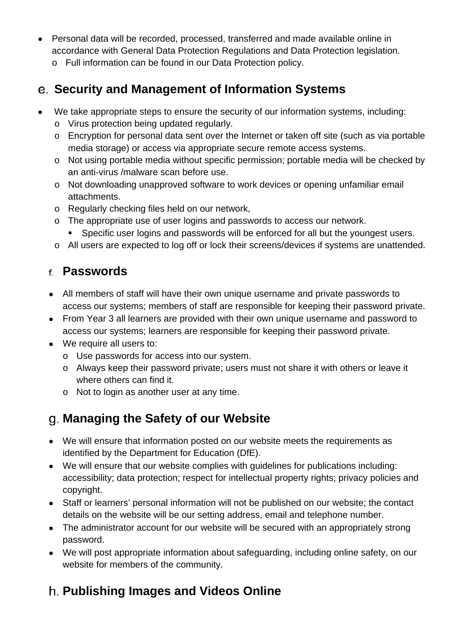- Personal data will be recorded, processed, transferred and made available online in accordance with General Data Protection Regulations and Data Protection legislation.
	- o Full information can be found in our Data Protection policy.

#### <span id="page-13-0"></span>**Security and Management of Information Systems**

- We take appropriate steps to ensure the security of our information systems, including:
	- o Virus protection being updated regularly.
	- o Encryption for personal data sent over the Internet or taken off site (such as via portable media storage) or access via appropriate secure remote access systems.
	- o Not using portable media without specific permission; portable media will be checked by an anti-virus /malware scan before use.
	- o Not downloading unapproved software to work devices or opening unfamiliar email attachments.
	- o Regularly checking files held on our network,
	- o The appropriate use of user logins and passwords to access our network.
		- **Specific user logins and passwords will be enforced for all but the youngest users.**
	- o All users are expected to log off or lock their screens/devices if systems are unattended.

#### <span id="page-13-1"></span>**Passwords**

- All members of staff will have their own unique username and private passwords to access our systems; members of staff are responsible for keeping their password private.
- From Year 3 all learners are provided with their own unique username and password to access our systems; learners are responsible for keeping their password private.
- We require all users to:
	- o Use passwords for access into our system.
	- o Always keep their password private; users must not share it with others or leave it where others can find it.
	- o Not to login as another user at any time.

## <span id="page-13-2"></span>**Managing the Safety of our Website**

- We will ensure that information posted on our website meets the requirements as identified by the Department for Education (DfE).
- We will ensure that our website complies with guidelines for publications including: accessibility; data protection; respect for intellectual property rights; privacy policies and copyright.
- Staff or learners' personal information will not be published on our website; the contact details on the website will be our setting address, email and telephone number.
- The administrator account for our website will be secured with an appropriately strong password.
- We will post appropriate information about safeguarding, including online safety, on our website for members of the community.

## <span id="page-13-3"></span>**Publishing Images and Videos Online**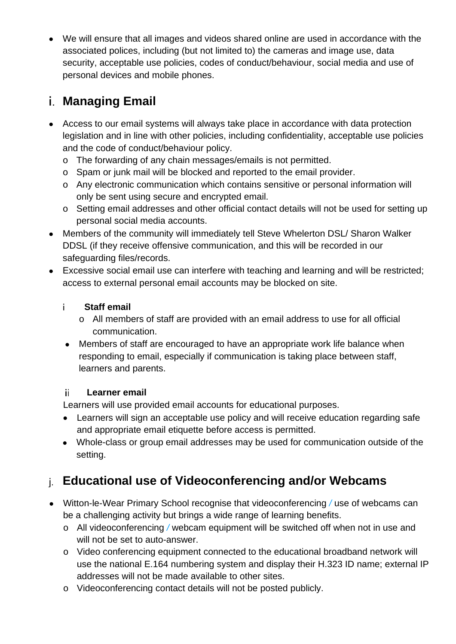• We will ensure that all images and videos shared online are used in accordance with the associated polices, including (but not limited to) the cameras and image use, data security, acceptable use policies, codes of conduct/behaviour, social media and use of personal devices and mobile phones.

### <span id="page-14-0"></span>**Managing Email**

- Access to our email systems will always take place in accordance with data protection legislation and in line with other policies, including confidentiality, acceptable use policies and the code of conduct/behaviour policy.
	- o The forwarding of any chain messages/emails is not permitted.
	- o Spam or junk mail will be blocked and reported to the email provider.
	- o Any electronic communication which contains sensitive or personal information will only be sent using secure and encrypted email.
	- o Setting email addresses and other official contact details will not be used for setting up personal social media accounts.
- Members of the community will immediately tell Steve Whelerton DSL/ Sharon Walker DDSL (if they receive offensive communication, and this will be recorded in our safeguarding files/records.
- Excessive social email use can interfere with teaching and learning and will be restricted; access to external personal email accounts may be blocked on site.

#### i. **Staff email**

- o All members of staff are provided with an email address to use for all official communication.
- Members of staff are encouraged to have an appropriate work life balance when responding to email, especially if communication is taking place between staff, learners and parents.

#### **Learner email** ii l

Learners will use provided email accounts for educational purposes.

- Learners will sign an acceptable use policy and will receive education regarding safe and appropriate email etiquette before access is permitted.
- Whole-class or group email addresses may be used for communication outside of the setting.

## <span id="page-14-1"></span>**Educational use of Videoconferencing and/or Webcams**

- Witton-le-Wear Primary School recognise that videoconferencing */* use of webcams can be a challenging activity but brings a wide range of learning benefits.
	- o All videoconferencing */* webcam equipment will be switched off when not in use and will not be set to auto-answer.
	- o Video conferencing equipment connected to the educational broadband network will use the national E.164 numbering system and display their H.323 ID name; external IP addresses will not be made available to other sites.
	- o Videoconferencing contact details will not be posted publicly.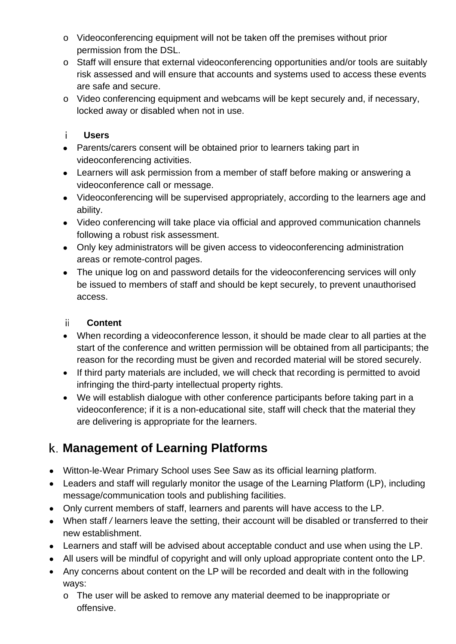- o Videoconferencing equipment will not be taken off the premises without prior permission from the DSL.
- o Staff will ensure that external videoconferencing opportunities and/or tools are suitably risk assessed and will ensure that accounts and systems used to access these events are safe and secure.
- o Video conferencing equipment and webcams will be kept securely and, if necessary, locked away or disabled when not in use.

#### **Users**  j.

- Parents/carers consent will be obtained prior to learners taking part in videoconferencing activities.
- Learners will ask permission from a member of staff before making or answering a videoconference call or message.
- Videoconferencing will be supervised appropriately, according to the learners age and ability.
- Video conferencing will take place via official and approved communication channels following a robust risk assessment.
- Only key administrators will be given access to videoconferencing administration areas or remote-control pages.
- The unique log on and password details for the videoconferencing services will only be issued to members of staff and should be kept securely, to prevent unauthorised access.

#### ii l **Content**

- When recording a videoconference lesson, it should be made clear to all parties at the start of the conference and written permission will be obtained from all participants; the reason for the recording must be given and recorded material will be stored securely.
- If third party materials are included, we will check that recording is permitted to avoid infringing the third-party intellectual property rights.
- We will establish dialogue with other conference participants before taking part in a videoconference; if it is a non-educational site, staff will check that the material they are delivering is appropriate for the learners.

## <span id="page-15-0"></span>**Management of Learning Platforms**

- Witton-le-Wear Primary School uses See Saw as its official learning platform.
- Leaders and staff will regularly monitor the usage of the Learning Platform (LP), including message/communication tools and publishing facilities.
- Only current members of staff, learners and parents will have access to the LP.
- When staff */* learners leave the setting, their account will be disabled or transferred to their new establishment.
- Learners and staff will be advised about acceptable conduct and use when using the LP.
- All users will be mindful of copyright and will only upload appropriate content onto the LP.
- Any concerns about content on the LP will be recorded and dealt with in the following ways:
	- o The user will be asked to remove any material deemed to be inappropriate or offensive.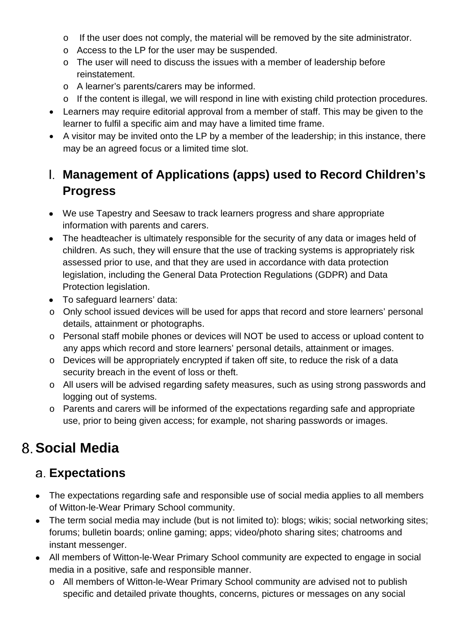- o If the user does not comply, the material will be removed by the site administrator.
- o Access to the LP for the user may be suspended.
- o The user will need to discuss the issues with a member of leadership before reinstatement.
- o A learner's parents/carers may be informed.
- o If the content is illegal, we will respond in line with existing child protection procedures.
- Learners may require editorial approval from a member of staff. This may be given to the learner to fulfil a specific aim and may have a limited time frame.
- A visitor may be invited onto the LP by a member of the leadership; in this instance, there may be an agreed focus or a limited time slot.

### <span id="page-16-0"></span>**Management of Applications (apps) used to Record Children's Progress**

- We use Tapestry and Seesaw to track learners progress and share appropriate information with parents and carers.
- The headteacher is ultimately responsible for the security of any data or images held of children. As such, they will ensure that the use of tracking systems is appropriately risk assessed prior to use, and that they are used in accordance with data protection legislation, including the General Data Protection Regulations (GDPR) and Data Protection legislation.
- To safeguard learners' data:
- o Only school issued devices will be used for apps that record and store learners' personal details, attainment or photographs.
- o Personal staff mobile phones or devices will NOT be used to access or upload content to any apps which record and store learners' personal details, attainment or images.
- o Devices will be appropriately encrypted if taken off site, to reduce the risk of a data security breach in the event of loss or theft.
- o All users will be advised regarding safety measures, such as using strong passwords and logging out of systems.
- o Parents and carers will be informed of the expectations regarding safe and appropriate use, prior to being given access; for example, not sharing passwords or images.

# <span id="page-16-1"></span>**Social Media**

#### <span id="page-16-2"></span>**Expectations**

- The expectations regarding safe and responsible use of social media applies to all members of Witton-le-Wear Primary School community.
- The term social media may include (but is not limited to): blogs; wikis; social networking sites; forums; bulletin boards; online gaming; apps; video/photo sharing sites; chatrooms and instant messenger.
- All members of Witton-le-Wear Primary School community are expected to engage in social media in a positive, safe and responsible manner.
	- o All members of Witton-le-Wear Primary School community are advised not to publish specific and detailed private thoughts, concerns, pictures or messages on any social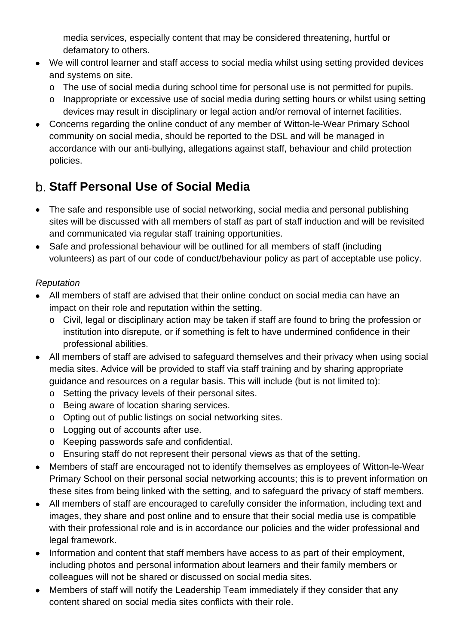media services, especially content that may be considered threatening, hurtful or defamatory to others.

- We will control learner and staff access to social media whilst using setting provided devices and systems on site.
	- o The use of social media during school time for personal use is not permitted for pupils.
	- o Inappropriate or excessive use of social media during setting hours or whilst using setting devices may result in disciplinary or legal action and/or removal of internet facilities.
- Concerns regarding the online conduct of any member of Witton-le-Wear Primary School community on social media, should be reported to the DSL and will be managed in accordance with our anti-bullying, allegations against staff, behaviour and child protection policies.

## <span id="page-17-0"></span>**Staff Personal Use of Social Media**

- The safe and responsible use of social networking, social media and personal publishing sites will be discussed with all members of staff as part of staff induction and will be revisited and communicated via regular staff training opportunities.
- Safe and professional behaviour will be outlined for all members of staff (including volunteers) as part of our code of conduct/behaviour policy as part of acceptable use policy.

#### *Reputation*

- All members of staff are advised that their online conduct on social media can have an impact on their role and reputation within the setting.
	- o Civil, legal or disciplinary action may be taken if staff are found to bring the profession or institution into disrepute, or if something is felt to have undermined confidence in their professional abilities.
- All members of staff are advised to safeguard themselves and their privacy when using social media sites. Advice will be provided to staff via staff training and by sharing appropriate guidance and resources on a regular basis. This will include (but is not limited to):
	- o Setting the privacy levels of their personal sites.
	- o Being aware of location sharing services.
	- o Opting out of public listings on social networking sites.
	- o Logging out of accounts after use.
	- o Keeping passwords safe and confidential.
	- o Ensuring staff do not represent their personal views as that of the setting.
- Members of staff are encouraged not to identify themselves as employees of Witton-le-Wear Primary School on their personal social networking accounts; this is to prevent information on these sites from being linked with the setting, and to safeguard the privacy of staff members.
- All members of staff are encouraged to carefully consider the information, including text and images, they share and post online and to ensure that their social media use is compatible with their professional role and is in accordance our policies and the wider professional and legal framework.
- Information and content that staff members have access to as part of their employment, including photos and personal information about learners and their family members or colleagues will not be shared or discussed on social media sites.
- Members of staff will notify the Leadership Team immediately if they consider that any content shared on social media sites conflicts with their role.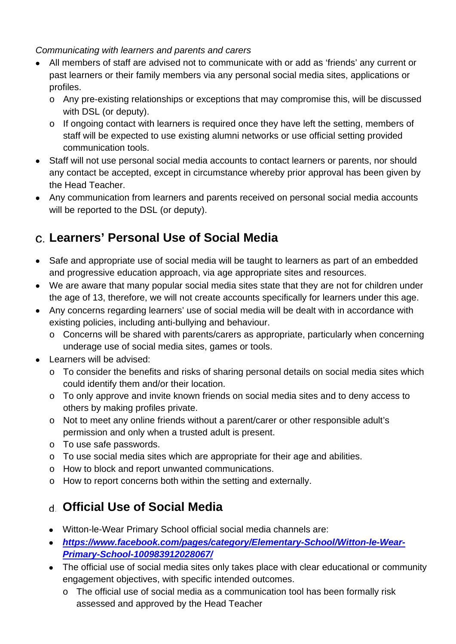*Communicating with learners and parents and carers*

- All members of staff are advised not to communicate with or add as 'friends' any current or past learners or their family members via any personal social media sites, applications or profiles.
	- o Any pre-existing relationships or exceptions that may compromise this, will be discussed with DSL (or deputy).
	- o If ongoing contact with learners is required once they have left the setting, members of staff will be expected to use existing alumni networks or use official setting provided communication tools.
- Staff will not use personal social media accounts to contact learners or parents, nor should any contact be accepted, except in circumstance whereby prior approval has been given by the Head Teacher.
- Any communication from learners and parents received on personal social media accounts will be reported to the DSL (or deputy).

## <span id="page-18-0"></span>**Learners' Personal Use of Social Media**

- Safe and appropriate use of social media will be taught to learners as part of an embedded and progressive education approach, via age appropriate sites and resources.
- We are aware that many popular social media sites state that they are not for children under the age of 13, therefore, we will not create accounts specifically for learners under this age.
- Any concerns regarding learners' use of social media will be dealt with in accordance with existing policies, including anti-bullying and behaviour.
	- o Concerns will be shared with parents/carers as appropriate, particularly when concerning underage use of social media sites, games or tools.
- Learners will be advised:
	- o To consider the benefits and risks of sharing personal details on social media sites which could identify them and/or their location.
	- o To only approve and invite known friends on social media sites and to deny access to others by making profiles private.
	- o Not to meet any online friends without a parent/carer or other responsible adult's permission and only when a trusted adult is present.
	- o To use safe passwords.
	- o To use social media sites which are appropriate for their age and abilities.
	- o How to block and report unwanted communications.
	- o How to report concerns both within the setting and externally.

## <span id="page-18-1"></span>**Official Use of Social Media**

- Witton-le-Wear Primary School official social media channels are:
- *[https://www.facebook.com/pages/category/Elementary-School/Witton-le-Wear-](https://www.facebook.com/pages/category/Elementary-School/Witton-le-Wear-Primary-School-100983912028067/)[Primary-School-100983912028067/](https://www.facebook.com/pages/category/Elementary-School/Witton-le-Wear-Primary-School-100983912028067/)*
- The official use of social media sites only takes place with clear educational or community engagement objectives, with specific intended outcomes.
	- o The official use of social media as a communication tool has been formally risk assessed and approved by the Head Teacher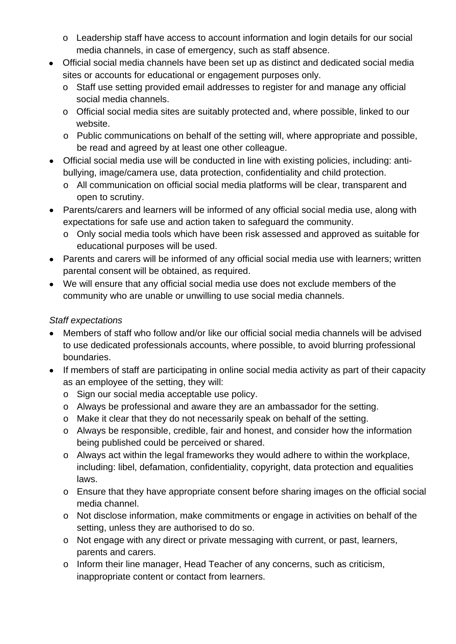- o Leadership staff have access to account information and login details for our social media channels, in case of emergency, such as staff absence.
- Official social media channels have been set up as distinct and dedicated social media sites or accounts for educational or engagement purposes only.
	- o Staff use setting provided email addresses to register for and manage any official social media channels.
	- o Official social media sites are suitably protected and, where possible, linked to our website.
	- o Public communications on behalf of the setting will, where appropriate and possible, be read and agreed by at least one other colleague.
- Official social media use will be conducted in line with existing policies, including: antibullying, image/camera use, data protection, confidentiality and child protection.
	- o All communication on official social media platforms will be clear, transparent and open to scrutiny.
- Parents/carers and learners will be informed of any official social media use, along with expectations for safe use and action taken to safeguard the community.
	- o Only social media tools which have been risk assessed and approved as suitable for educational purposes will be used.
- Parents and carers will be informed of any official social media use with learners; written parental consent will be obtained, as required.
- We will ensure that any official social media use does not exclude members of the community who are unable or unwilling to use social media channels.

#### *Staff expectations*

- Members of staff who follow and/or like our official social media channels will be advised to use dedicated professionals accounts, where possible, to avoid blurring professional boundaries.
- If members of staff are participating in online social media activity as part of their capacity as an employee of the setting, they will:
	- o Sign our social media acceptable use policy.
	- o Always be professional and aware they are an ambassador for the setting.
	- o Make it clear that they do not necessarily speak on behalf of the setting.
	- o Always be responsible, credible, fair and honest, and consider how the information being published could be perceived or shared.
	- o Always act within the legal frameworks they would adhere to within the workplace, including: libel, defamation, confidentiality, copyright, data protection and equalities laws.
	- o Ensure that they have appropriate consent before sharing images on the official social media channel.
	- o Not disclose information, make commitments or engage in activities on behalf of the setting, unless they are authorised to do so.
	- o Not engage with any direct or private messaging with current, or past, learners, parents and carers.
	- o Inform their line manager, Head Teacher of any concerns, such as criticism, inappropriate content or contact from learners.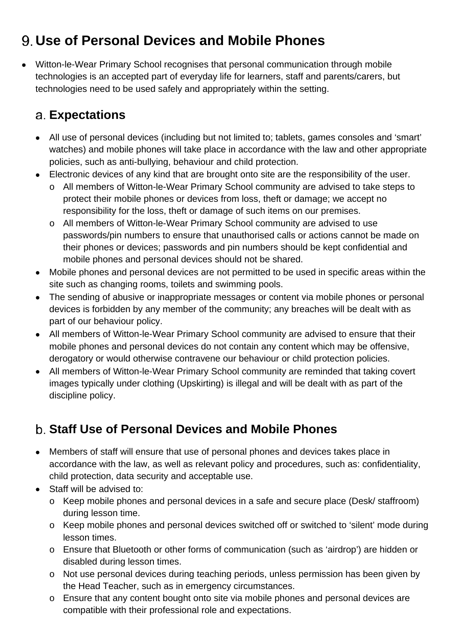# <span id="page-20-0"></span>**Use of Personal Devices and Mobile Phones**

• Witton-le-Wear Primary School recognises that personal communication through mobile technologies is an accepted part of everyday life for learners, staff and parents/carers, but technologies need to be used safely and appropriately within the setting.

### <span id="page-20-1"></span>**Expectations**

- All use of personal devices (including but not limited to; tablets, games consoles and 'smart' watches) and mobile phones will take place in accordance with the law and other appropriate policies, such as anti-bullying, behaviour and child protection.
- Electronic devices of any kind that are brought onto site are the responsibility of the user.
	- o All members of Witton-le-Wear Primary School community are advised to take steps to protect their mobile phones or devices from loss, theft or damage; we accept no responsibility for the loss, theft or damage of such items on our premises.
	- o All members of Witton-le-Wear Primary School community are advised to use passwords/pin numbers to ensure that unauthorised calls or actions cannot be made on their phones or devices; passwords and pin numbers should be kept confidential and mobile phones and personal devices should not be shared.
- Mobile phones and personal devices are not permitted to be used in specific areas within the site such as changing rooms, toilets and swimming pools.
- The sending of abusive or inappropriate messages or content via mobile phones or personal devices is forbidden by any member of the community; any breaches will be dealt with as part of our behaviour policy.
- All members of Witton-le-Wear Primary School community are advised to ensure that their mobile phones and personal devices do not contain any content which may be offensive, derogatory or would otherwise contravene our behaviour or child protection policies.
- All members of Witton-le-Wear Primary School community are reminded that taking covert images typically under clothing (Upskirting) is illegal and will be dealt with as part of the discipline policy.

## <span id="page-20-2"></span>**Staff Use of Personal Devices and Mobile Phones**

- Members of staff will ensure that use of personal phones and devices takes place in accordance with the law, as well as relevant policy and procedures, such as: confidentiality, child protection, data security and acceptable use.
- Staff will be advised to:
	- o Keep mobile phones and personal devices in a safe and secure place (Desk/ staffroom) during lesson time.
	- o Keep mobile phones and personal devices switched off or switched to 'silent' mode during lesson times.
	- o Ensure that Bluetooth or other forms of communication (such as 'airdrop') are hidden or disabled during lesson times.
	- o Not use personal devices during teaching periods, unless permission has been given by the Head Teacher, such as in emergency circumstances.
	- o Ensure that any content bought onto site via mobile phones and personal devices are compatible with their professional role and expectations.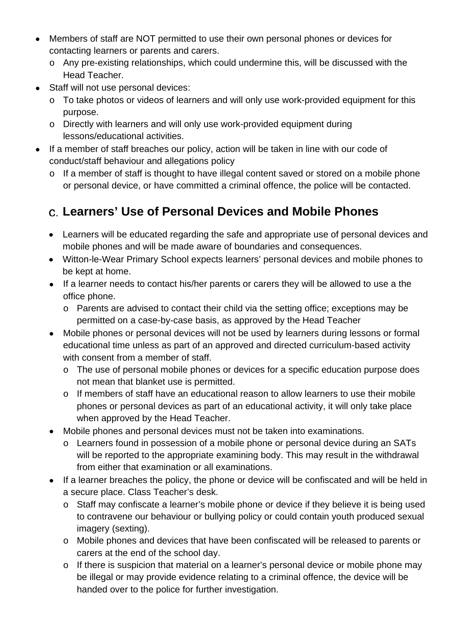- Members of staff are NOT permitted to use their own personal phones or devices for contacting learners or parents and carers.
	- o Any pre-existing relationships, which could undermine this, will be discussed with the Head Teacher.
- Staff will not use personal devices:
	- o To take photos or videos of learners and will only use work-provided equipment for this purpose.
	- o Directly with learners and will only use work-provided equipment during lessons/educational activities.
- If a member of staff breaches our policy, action will be taken in line with our code of conduct/staff behaviour and allegations policy
	- o If a member of staff is thought to have illegal content saved or stored on a mobile phone or personal device, or have committed a criminal offence, the police will be contacted.

## <span id="page-21-0"></span>**Learners' Use of Personal Devices and Mobile Phones**

- Learners will be educated regarding the safe and appropriate use of personal devices and mobile phones and will be made aware of boundaries and consequences.
- Witton-le-Wear Primary School expects learners' personal devices and mobile phones to be kept at home.
- If a learner needs to contact his/her parents or carers they will be allowed to use a the office phone.
	- o Parents are advised to contact their child via the setting office; exceptions may be permitted on a case-by-case basis, as approved by the Head Teacher
- Mobile phones or personal devices will not be used by learners during lessons or formal educational time unless as part of an approved and directed curriculum-based activity with consent from a member of staff.
	- o The use of personal mobile phones or devices for a specific education purpose does not mean that blanket use is permitted.
	- o If members of staff have an educational reason to allow learners to use their mobile phones or personal devices as part of an educational activity, it will only take place when approved by the Head Teacher.
- Mobile phones and personal devices must not be taken into examinations.
	- o Learners found in possession of a mobile phone or personal device during an SATs will be reported to the appropriate examining body. This may result in the withdrawal from either that examination or all examinations.
- If a learner breaches the policy, the phone or device will be confiscated and will be held in a secure place. Class Teacher's desk.
	- o Staff may confiscate a learner's mobile phone or device if they believe it is being used to contravene our behaviour or bullying policy or could contain youth produced sexual imagery (sexting).
	- o Mobile phones and devices that have been confiscated will be released to parents or carers at the end of the school day.
	- o If there is suspicion that material on a learner's personal device or mobile phone may be illegal or may provide evidence relating to a criminal offence, the device will be handed over to the police for further investigation.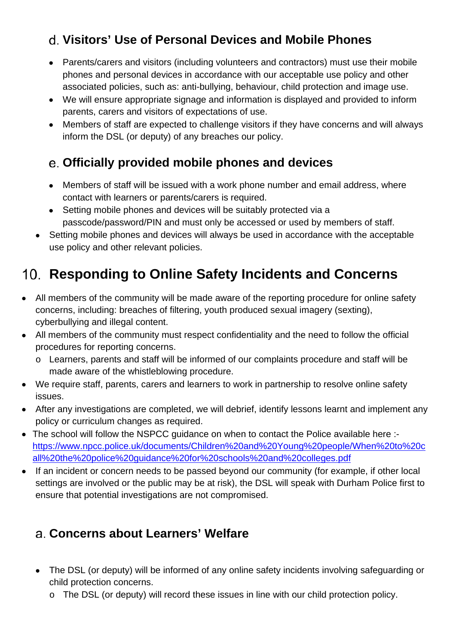## <span id="page-22-0"></span>**Visitors' Use of Personal Devices and Mobile Phones**

- Parents/carers and visitors (including volunteers and contractors) must use their mobile phones and personal devices in accordance with our acceptable use policy and other associated policies, such as: anti-bullying, behaviour, child protection and image use.
- We will ensure appropriate signage and information is displayed and provided to inform parents, carers and visitors of expectations of use.
- Members of staff are expected to challenge visitors if they have concerns and will always inform the DSL (or deputy) of any breaches our policy.

#### <span id="page-22-1"></span>**Officially provided mobile phones and devices**

- Members of staff will be issued with a work phone number and email address, where contact with learners or parents/carers is required.
- Setting mobile phones and devices will be suitably protected via a passcode/password/PIN and must only be accessed or used by members of staff.
- Setting mobile phones and devices will always be used in accordance with the acceptable use policy and other relevant policies.

# <span id="page-22-2"></span>**Responding to Online Safety Incidents and Concerns**

- All members of the community will be made aware of the reporting procedure for online safety concerns, including: breaches of filtering, youth produced sexual imagery (sexting), cyberbullying and illegal content.
- All members of the community must respect confidentiality and the need to follow the official procedures for reporting concerns.
	- o Learners, parents and staff will be informed of our complaints procedure and staff will be made aware of the whistleblowing procedure.
- We require staff, parents, carers and learners to work in partnership to resolve online safety issues.
- After any investigations are completed, we will debrief, identify lessons learnt and implement any policy or curriculum changes as required.
- The school will follow the NSPCC quidance on when to contact the Police available here :[https://www.npcc.police.uk/documents/Children%20and%20Young%20people/When%20to%20c](https://www.npcc.police.uk/documents/Children%20and%20Young%20people/When%20to%20call%20the%20police%20guidance%20for%20schools%20and%20colleges.pdf) [all%20the%20police%20guidance%20for%20schools%20and%20colleges.pdf](https://www.npcc.police.uk/documents/Children%20and%20Young%20people/When%20to%20call%20the%20police%20guidance%20for%20schools%20and%20colleges.pdf)
- If an incident or concern needs to be passed beyond our community (for example, if other local settings are involved or the public may be at risk), the DSL will speak with Durham Police first to ensure that potential investigations are not compromised.

## <span id="page-22-3"></span>**Concerns about Learners' Welfare**

- The DSL (or deputy) will be informed of any online safety incidents involving safeguarding or child protection concerns.
	- o The DSL (or deputy) will record these issues in line with our child protection policy.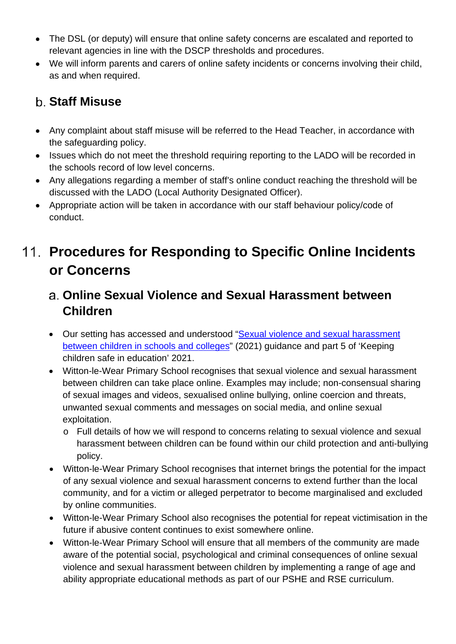- The DSL (or deputy) will ensure that online safety concerns are escalated and reported to relevant agencies in line with the DSCP thresholds and procedures.
- We will inform parents and carers of online safety incidents or concerns involving their child, as and when required.

### <span id="page-23-0"></span>**Staff Misuse**

- Any complaint about staff misuse will be referred to the Head Teacher, in accordance with the safeguarding policy.
- Issues which do not meet the threshold requiring reporting to the LADO will be recorded in the schools record of low level concerns.
- Any allegations regarding a member of staff's online conduct reaching the threshold will be discussed with the LADO (Local Authority Designated Officer).
- Appropriate action will be taken in accordance with our staff behaviour policy/code of conduct.

# <span id="page-23-1"></span>**Procedures for Responding to Specific Online Incidents or Concerns**

#### <span id="page-23-2"></span>**Online Sexual Violence and Sexual Harassment between Children**

- Our setting has accessed and understood ["Sexual violence and sexual harassment](https://www.gov.uk/government/publications/sexual-violence-and-sexual-harassment-between-children-in-schools-and-colleges)  [between children in schools and colleges"](https://www.gov.uk/government/publications/sexual-violence-and-sexual-harassment-between-children-in-schools-and-colleges) (2021) guidance and part 5 of 'Keeping children safe in education' 2021.
- Witton-le-Wear Primary School recognises that sexual violence and sexual harassment between children can take place online. Examples may include; non-consensual sharing of sexual images and videos, sexualised online bullying, online coercion and threats, unwanted sexual comments and messages on social media, and online sexual exploitation.
	- o Full details of how we will respond to concerns relating to sexual violence and sexual harassment between children can be found within our child protection and anti-bullying policy.
- Witton-le-Wear Primary School recognises that internet brings the potential for the impact of any sexual violence and sexual harassment concerns to extend further than the local community, and for a victim or alleged perpetrator to become marginalised and excluded by online communities.
- Witton-le-Wear Primary School also recognises the potential for repeat victimisation in the future if abusive content continues to exist somewhere online.
- Witton-le-Wear Primary School will ensure that all members of the community are made aware of the potential social, psychological and criminal consequences of online sexual violence and sexual harassment between children by implementing a range of age and ability appropriate educational methods as part of our PSHE and RSE curriculum.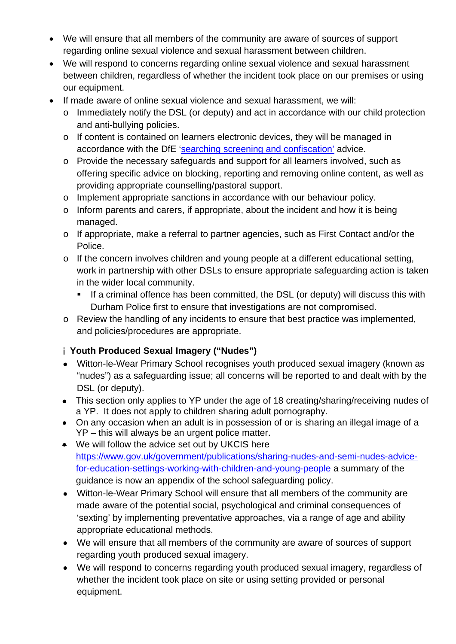- We will ensure that all members of the community are aware of sources of support regarding online sexual violence and sexual harassment between children.
- We will respond to concerns regarding online sexual violence and sexual harassment between children, regardless of whether the incident took place on our premises or using our equipment.
- If made aware of online sexual violence and sexual harassment, we will:
	- o Immediately notify the DSL (or deputy) and act in accordance with our child protection and anti-bullying policies.
	- o If content is contained on learners electronic devices, they will be managed in accordance with the DfE ['searching screening and confiscation'](https://www.gov.uk/government/publications/searching-screening-and-confiscation) advice.
	- o Provide the necessary safeguards and support for all learners involved, such as offering specific advice on blocking, reporting and removing online content, as well as providing appropriate counselling/pastoral support.
	- o Implement appropriate sanctions in accordance with our behaviour policy.
	- o Inform parents and carers, if appropriate, about the incident and how it is being managed.
	- o If appropriate, make a referral to partner agencies, such as First Contact and/or the Police.
	- o If the concern involves children and young people at a different educational setting, work in partnership with other DSLs to ensure appropriate safeguarding action is taken in the wider local community.
		- **If a criminal offence has been committed, the DSL (or deputy) will discuss this with** Durham Police first to ensure that investigations are not compromised.
	- o Review the handling of any incidents to ensure that best practice was implemented, and policies/procedures are appropriate.

#### **Youth Produced Sexual Imagery ("Nudes")**

- Witton-le-Wear Primary School recognises youth produced sexual imagery (known as "nudes") as a safeguarding issue; all concerns will be reported to and dealt with by the DSL (or deputy).
- This section only applies to YP under the age of 18 creating/sharing/receiving nudes of a YP. It does not apply to children sharing adult pornography.
- On any occasion when an adult is in possession of or is sharing an illegal image of a YP – this will always be an urgent police matter.
- We will follow the advice set out by UKCIS here [https://www.gov.uk/government/publications/sharing-nudes-and-semi-nudes-advice](https://www.gov.uk/government/publications/sharing-nudes-and-semi-nudes-advice-for-education-settings-working-with-children-and-young-people)[for-education-settings-working-with-children-and-young-people](https://www.gov.uk/government/publications/sharing-nudes-and-semi-nudes-advice-for-education-settings-working-with-children-and-young-people) a summary of the guidance is now an appendix of the school safeguarding policy.
- Witton-le-Wear Primary School will ensure that all members of the community are made aware of the potential social, psychological and criminal consequences of 'sexting' by implementing preventative approaches, via a range of age and ability appropriate educational methods.
- We will ensure that all members of the community are aware of sources of support regarding youth produced sexual imagery.
- We will respond to concerns regarding youth produced sexual imagery, regardless of whether the incident took place on site or using setting provided or personal equipment.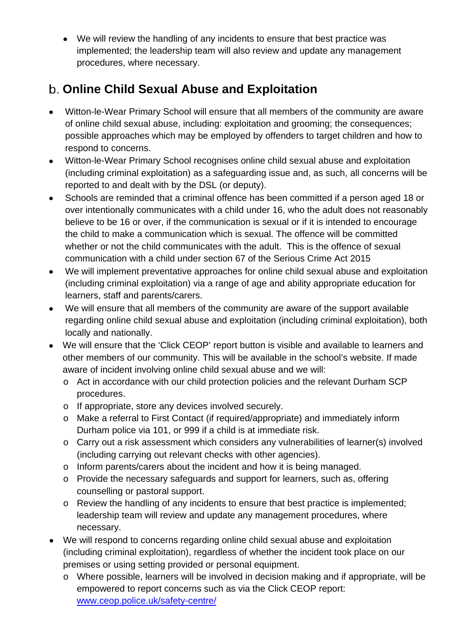• We will review the handling of any incidents to ensure that best practice was implemented; the leadership team will also review and update any management procedures, where necessary.

## <span id="page-25-0"></span>**Online Child Sexual Abuse and Exploitation**

- Witton-le-Wear Primary School will ensure that all members of the community are aware of online child sexual abuse, including: exploitation and grooming; the consequences; possible approaches which may be employed by offenders to target children and how to respond to concerns.
- Witton-le-Wear Primary School recognises online child sexual abuse and exploitation (including criminal exploitation) as a safeguarding issue and, as such, all concerns will be reported to and dealt with by the DSL (or deputy).
- Schools are reminded that a criminal offence has been committed if a person aged 18 or over intentionally communicates with a child under 16, who the adult does not reasonably believe to be 16 or over, if the communication is sexual or if it is intended to encourage the child to make a communication which is sexual. The offence will be committed whether or not the child communicates with the adult. This is the offence of sexual communication with a child under section 67 of the Serious Crime Act 2015
- We will implement preventative approaches for online child sexual abuse and exploitation (including criminal exploitation) via a range of age and ability appropriate education for learners, staff and parents/carers.
- We will ensure that all members of the community are aware of the support available regarding online child sexual abuse and exploitation (including criminal exploitation), both locally and nationally.
- We will ensure that the 'Click CEOP' report button is visible and available to learners and other members of our community. This will be available in the school's website. If made aware of incident involving online child sexual abuse and we will:
	- o Act in accordance with our child protection policies and the relevant Durham SCP procedures.
	- o If appropriate, store any devices involved securely.
	- o Make a referral to First Contact (if required/appropriate) and immediately inform Durham police via 101, or 999 if a child is at immediate risk.
	- o Carry out a risk assessment which considers any vulnerabilities of learner(s) involved (including carrying out relevant checks with other agencies).
	- o Inform parents/carers about the incident and how it is being managed.
	- o Provide the necessary safeguards and support for learners, such as, offering counselling or pastoral support.
	- o Review the handling of any incidents to ensure that best practice is implemented; leadership team will review and update any management procedures, where necessary.
- We will respond to concerns regarding online child sexual abuse and exploitation (including criminal exploitation), regardless of whether the incident took place on our premises or using setting provided or personal equipment.
	- o Where possible, learners will be involved in decision making and if appropriate, will be empowered to report concerns such as via the Click CEOP report: [www.ceop.police.uk/safety-centre/](http://www.ceop.police.uk/safety-centre/)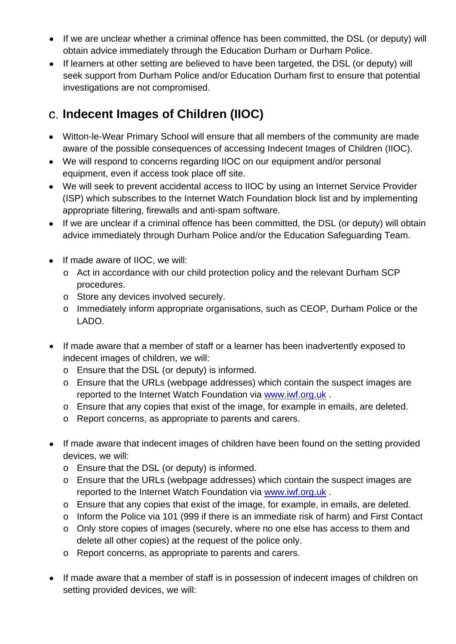- If we are unclear whether a criminal offence has been committed, the DSL (or deputy) will obtain advice immediately through the Education Durham or Durham Police.
- If learners at other setting are believed to have been targeted, the DSL (or deputy) will seek support from Durham Police and/or Education Durham first to ensure that potential investigations are not compromised.

## <span id="page-26-0"></span>**Indecent Images of Children (IIOC)**

- Witton-le-Wear Primary School will ensure that all members of the community are made aware of the possible consequences of accessing Indecent Images of Children (IIOC).
- We will respond to concerns regarding IIOC on our equipment and/or personal equipment, even if access took place off site.
- We will seek to prevent accidental access to IIOC by using an Internet Service Provider (ISP) which subscribes to the Internet Watch Foundation block list and by implementing appropriate filtering, firewalls and anti-spam software.
- If we are unclear if a criminal offence has been committed, the DSL (or deputy) will obtain advice immediately through Durham Police and/or the Education Safeguarding Team.
- If made aware of IIOC, we will:
	- o Act in accordance with our child protection policy and the relevant Durham SCP procedures.
	- o Store any devices involved securely.
	- o Immediately inform appropriate organisations, such as CEOP, Durham Police or the LADO.
- If made aware that a member of staff or a learner has been inadvertently exposed to indecent images of children, we will:
	- o Ensure that the DSL (or deputy) is informed.
	- o Ensure that the URLs (webpage addresses) which contain the suspect images are reported to the Internet Watch Foundation via [www.iwf.org.uk](https://www.iwf.org.uk/) .
	- o Ensure that any copies that exist of the image, for example in emails, are deleted.
	- o Report concerns, as appropriate to parents and carers.
- If made aware that indecent images of children have been found on the setting provided devices, we will:
	- o Ensure that the DSL (or deputy) is informed.
	- o Ensure that the URLs (webpage addresses) which contain the suspect images are reported to the Internet Watch Foundation via [www.iwf.org.uk](https://www.iwf.org.uk/) .
	- o Ensure that any copies that exist of the image, for example, in emails, are deleted.
	- o Inform the Police via 101 (999 if there is an immediate risk of harm) and First Contact
	- o Only store copies of images (securely, where no one else has access to them and delete all other copies) at the request of the police only.
	- o Report concerns, as appropriate to parents and carers.
- If made aware that a member of staff is in possession of indecent images of children on setting provided devices, we will: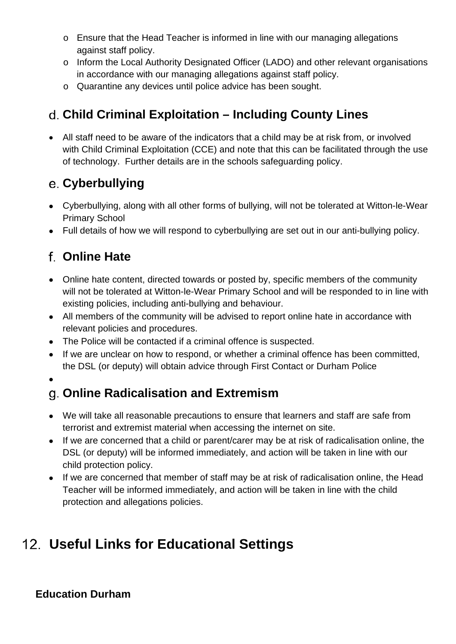- $\circ$  Ensure that the Head Teacher is informed in line with our managing allegations against staff policy.
- o Inform the Local Authority Designated Officer (LADO) and other relevant organisations in accordance with our managing allegations against staff policy.
- o Quarantine any devices until police advice has been sought.

## <span id="page-27-0"></span>**Child Criminal Exploitation – Including County Lines**

• All staff need to be aware of the indicators that a child may be at risk from, or involved with Child Criminal Exploitation (CCE) and note that this can be facilitated through the use of technology. Further details are in the schools safeguarding policy.

## **Cyberbullying**

- Cyberbullying, along with all other forms of bullying, will not be tolerated at Witton-le-Wear Primary School
- Full details of how we will respond to cyberbullying are set out in our anti-bullying policy.

## <span id="page-27-1"></span>**Online Hate**

- Online hate content, directed towards or posted by, specific members of the community will not be tolerated at Witton-le-Wear Primary School and will be responded to in line with existing policies, including anti-bullying and behaviour.
- All members of the community will be advised to report online hate in accordance with relevant policies and procedures.
- The Police will be contacted if a criminal offence is suspected.
- If we are unclear on how to respond, or whether a criminal offence has been committed, the DSL (or deputy) will obtain advice through First Contact or Durham Police

•

## <span id="page-27-2"></span>**Online Radicalisation and Extremism**

- We will take all reasonable precautions to ensure that learners and staff are safe from terrorist and extremist material when accessing the internet on site.
- If we are concerned that a child or parent/carer may be at risk of radicalisation online, the DSL (or deputy) will be informed immediately, and action will be taken in line with our child protection policy.
- If we are concerned that member of staff may be at risk of radicalisation online, the Head Teacher will be informed immediately, and action will be taken in line with the child protection and allegations policies.

# <span id="page-27-3"></span>**Useful Links for Educational Settings**

#### **Education Durham**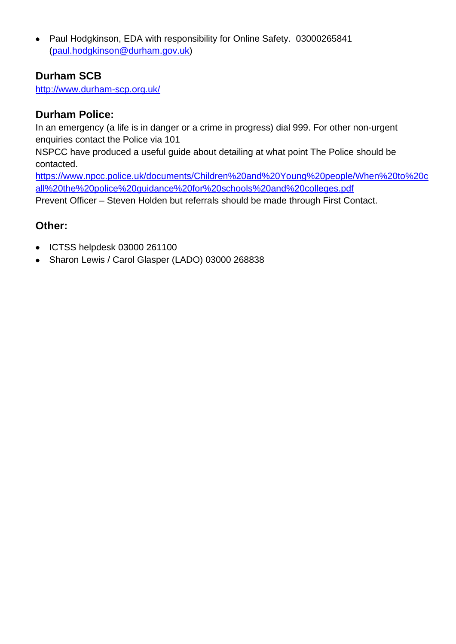• Paul Hodgkinson, EDA with responsibility for Online Safety. 03000265841 [\(paul.hodgkinson@durham.gov.uk\)](mailto:paul.hodgkinson@durham.gov.uk)

#### **Durham SCB**

http://www.durham-scp.org.uk/

#### **Durham Police:**

In an emergency (a life is in danger or a crime in progress) dial 999. For other non-urgent enquiries contact the Police via 101

NSPCC have produced a useful guide about detailing at what point The Police should be contacted.

[https://www.npcc.police.uk/documents/Children%20and%20Young%20people/When%20to%20c](https://www.npcc.police.uk/documents/Children%20and%20Young%20people/When%20to%20call%20the%20police%20guidance%20for%20schools%20and%20colleges.pdf) [all%20the%20police%20guidance%20for%20schools%20and%20colleges.pdf](https://www.npcc.police.uk/documents/Children%20and%20Young%20people/When%20to%20call%20the%20police%20guidance%20for%20schools%20and%20colleges.pdf)

Prevent Officer – Steven Holden but referrals should be made through First Contact.

#### **Other:**

- ICTSS helpdesk 03000 261100
- Sharon Lewis / Carol Glasper (LADO) 03000 268838